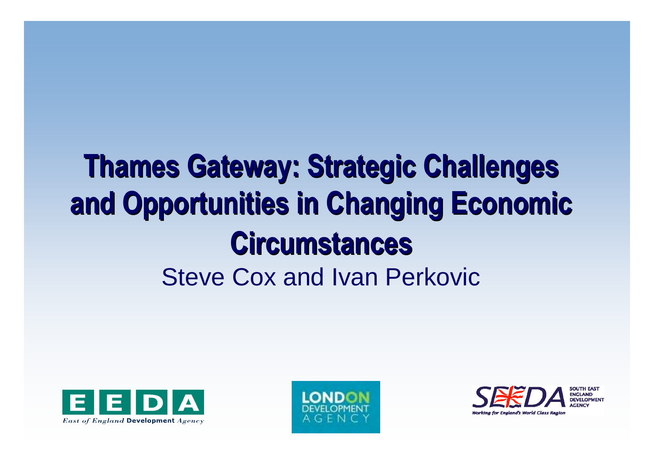### **Thames Gateway: Strategic Challenges Thames Gateway: Strategic Challenges and Opportunities in Changing Economic and Opportunities in Changing Economic Circumstances Circumstances**Steve Cox and Ivan Perkovic





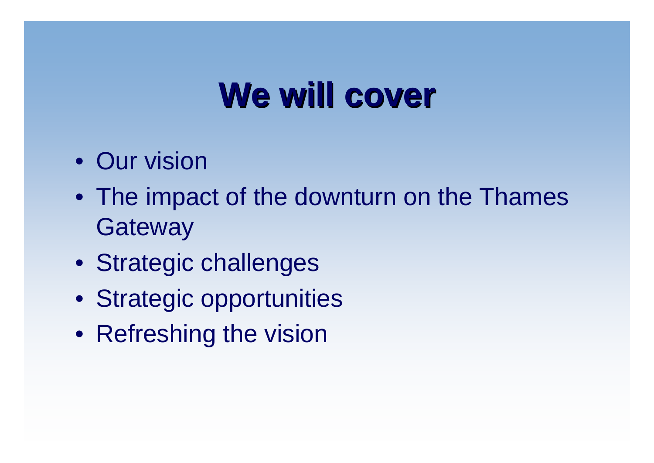### **We will cover**

- Our vision
- The impact of the downturn on the Thames **Gateway**
- Strategic challenges
- Strategic opportunities
- Refreshing the vision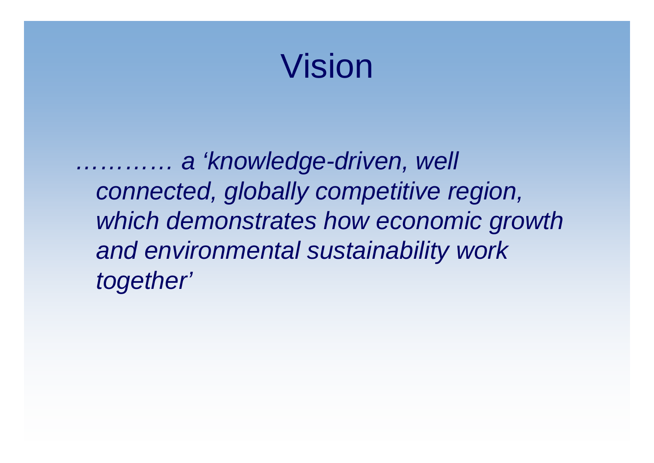### Vision

*………… <sup>a</sup>'knowledge-driven, well connected, globally competitive region, which demonstrates how economic growth and environmental sustainability work together'*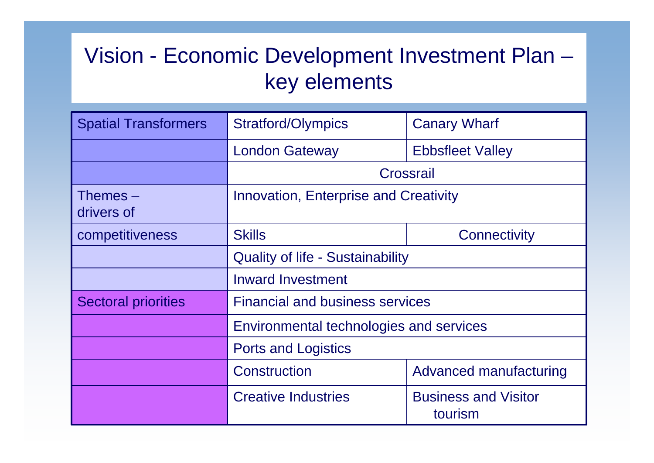### Vision - Economic Development Investment Plan – key elements

| <b>Spatial Transformers</b> | <b>Stratford/Olympics</b><br><b>Canary Wharf</b> |                                        |  |
|-----------------------------|--------------------------------------------------|----------------------------------------|--|
|                             | <b>London Gateway</b>                            | <b>Ebbsfleet Valley</b>                |  |
|                             | Crossrail                                        |                                        |  |
| Themes $-$<br>drivers of    | Innovation, Enterprise and Creativity            |                                        |  |
| competitiveness             | <b>Skills</b>                                    | Connectivity                           |  |
|                             | <b>Quality of life - Sustainability</b>          |                                        |  |
|                             | <b>Inward Investment</b>                         |                                        |  |
| <b>Sectoral priorities</b>  | <b>Financial and business services</b>           |                                        |  |
|                             | Environmental technologies and services          |                                        |  |
|                             | <b>Ports and Logistics</b>                       |                                        |  |
|                             | Construction                                     | Advanced manufacturing                 |  |
|                             | <b>Creative Industries</b>                       | <b>Business and Visitor</b><br>tourism |  |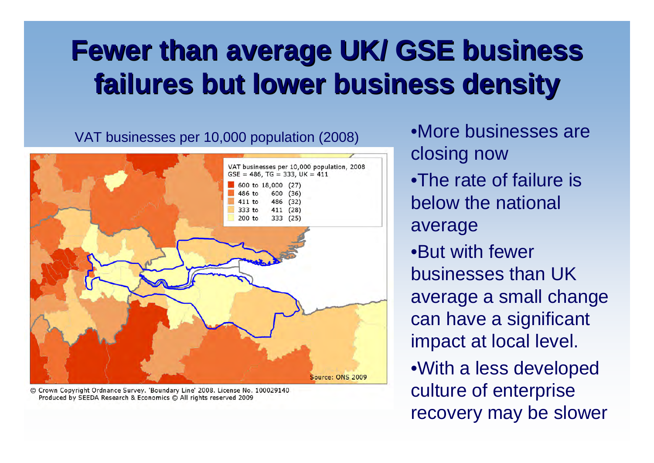### **Fewer than average UK/ GSE business Fewer than average UK/ GSE business failures but lower business density failures but lower business density**

VAT businesses per 10,000 population (2008) •More businesses are



© Crown Copyright Ordnance Survey. 'Boundary Line' 2008. License No. 100029140 Produced by SEEDA Research & Economics @ All rights reserved 2009

closing now •The rate of failure is below the national average •But with fewer businesses than UK average a small change can have a significant impact at local level. •With a less developed culture of enterprise recovery may be slower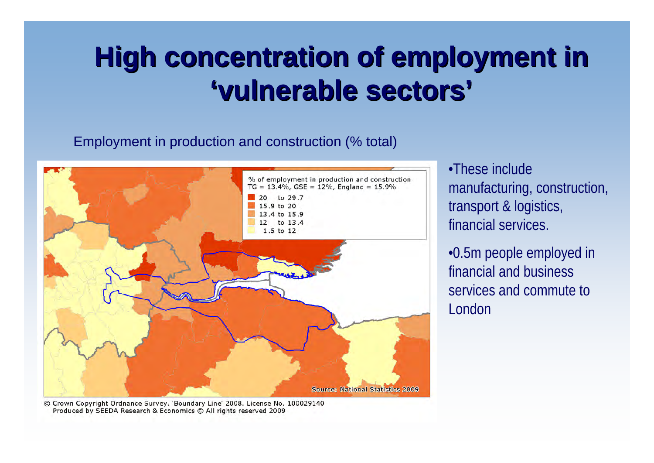### **High concentration of employment in 'vulnerable sectors vulnerable sectors '**

#### Employment in production and construction (% total)



•These include manufacturing, construction, transport & logistics, financial services.

•0.5m people employed in financial and business services and commute to London

© Crown Copyright Ordnance Survey. 'Boundary Line' 2008. License No. 100029140 Produced by SEEDA Research & Economics C All rights reserved 2009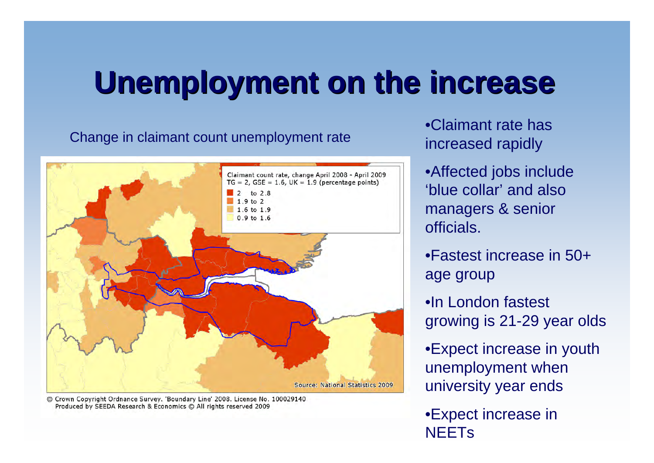### **Unemployment on the increase Unemployment on the increase**

#### Change in claimant count unemployment rate



© Crown Copyright Ordnance Survey. 'Boundary Line' 2008. License No. 100029140 Produced by SEEDA Research & Economics @ All rights reserved 2009

•Claimant rate has increased rapidly

•Affected jobs include 'blue collar' and also managers & senior officials.

•Fastest increase in 50+ age group

•In London fastest growing is 21-29 year olds

•Expect increase in youth unemployment when university year ends

•Expect increase in **NEETs**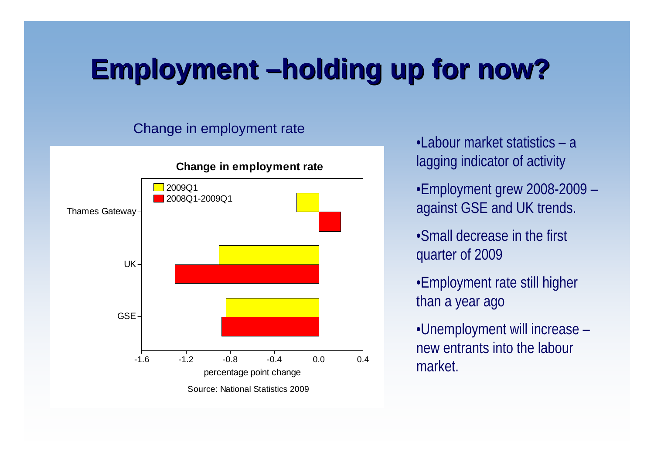### **Employment Employment –holding up for now? holding up for now?**

#### Change in employment rate



- •Labour market statistics a lagging indicator of activity
- •Employment grew 2008-2009 against GSE and UK trends.
- •Small decrease in the first quarter of 2009
- •Employment rate still higher than a year ago
- •Unemployment will increase new entrants into the labour market.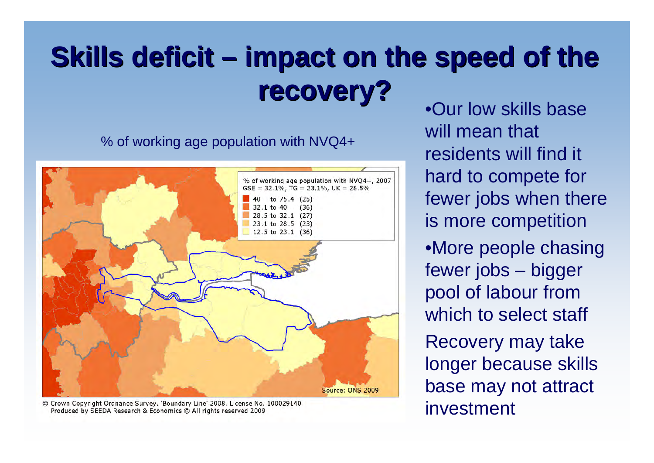### **Skills deficit – impact on the speed of the recovery? recovery?**

% of working age population with NVQ4+



© Crown Copyright Ordnance Survey. 'Boundary Line' 2008. License No. 100029140 Produced by SEEDA Research & Economics C All rights reserved 2009

•Our low skills base will mean that residents will find it hard to compete for fewer jobs when there is more competition •More people chasing fewer jobs – bigger

pool of labour from which to select staff

Recovery may take longer because skills base may not attract investment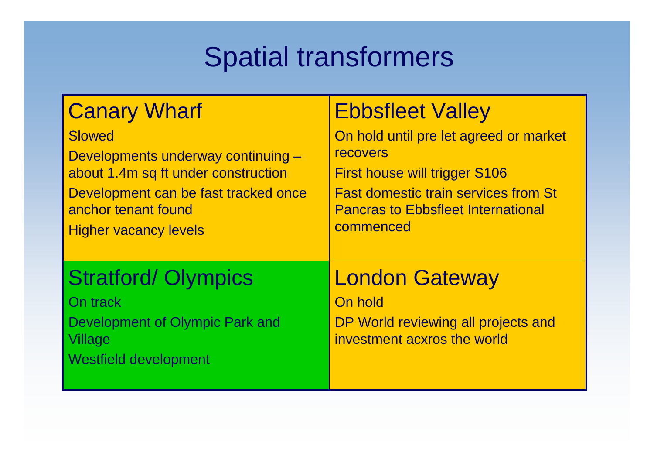### Spatial transformers

| <b>Canary Wharf</b>                                                                                           | <b>Ebbsfleet Valley</b>                                                                                |
|---------------------------------------------------------------------------------------------------------------|--------------------------------------------------------------------------------------------------------|
| <b>Slowed</b>                                                                                                 | On hold until pre let agreed or market                                                                 |
| Developments underway continuing -                                                                            | <b>recovers</b>                                                                                        |
| about 1.4m sq ft under construction                                                                           | First house will trigger S106                                                                          |
| Development can be fast tracked once                                                                          | <b>Fast domestic train services from St</b>                                                            |
| anchor tenant found                                                                                           | <b>Pancras to Ebbsfleet International</b>                                                              |
| <b>Higher vacancy levels</b>                                                                                  | commenced                                                                                              |
| <b>Stratford/ Olympics</b><br>On track<br>Development of Olympic Park and<br>Village<br>Westfield development | <b>London Gateway</b><br>On hold<br>DP World reviewing all projects and<br>investment acxros the world |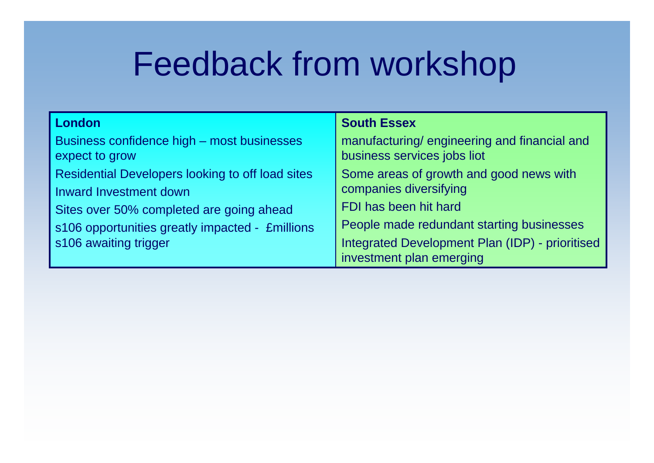### Feedback from workshop

| London                                                                                                                                                                                             | <b>South Essex</b>                                                                                                                                                                                                     |
|----------------------------------------------------------------------------------------------------------------------------------------------------------------------------------------------------|------------------------------------------------------------------------------------------------------------------------------------------------------------------------------------------------------------------------|
| Business confidence high – most businesses<br>expect to grow                                                                                                                                       | manufacturing/engineering and financial and<br>business services jobs liot                                                                                                                                             |
| Residential Developers looking to off load sites<br>Inward Investment down<br>Sites over 50% completed are going ahead<br>s106 opportunities greatly impacted - £millions<br>s106 awaiting trigger | Some areas of growth and good news with<br>companies diversifying<br>FDI has been hit hard<br>People made redundant starting businesses<br>Integrated Development Plan (IDP) - prioritised<br>investment plan emerging |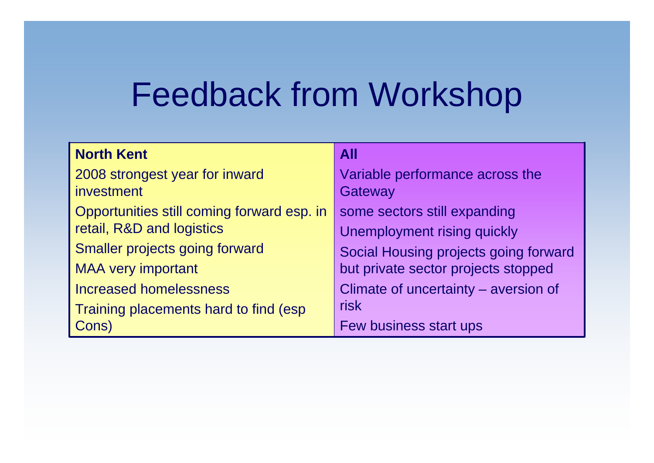### Feedback from Workshop

| <b>North Kent</b>                          | <b>All</b>                            |  |
|--------------------------------------------|---------------------------------------|--|
| 2008 strongest year for inward             | Variable performance across the       |  |
| <i>investment</i>                          | Gateway                               |  |
| Opportunities still coming forward esp. in | some sectors still expanding          |  |
| retail, R&D and logistics                  | <b>Unemployment rising quickly</b>    |  |
| Smaller projects going forward             | Social Housing projects going forward |  |
| <b>MAA very important</b>                  | but private sector projects stopped   |  |
| <b>Increased homelessness</b>              | Climate of uncertainty – aversion of  |  |
| Training placements hard to find (esp      | risk                                  |  |
| Cons)                                      | Few business start ups                |  |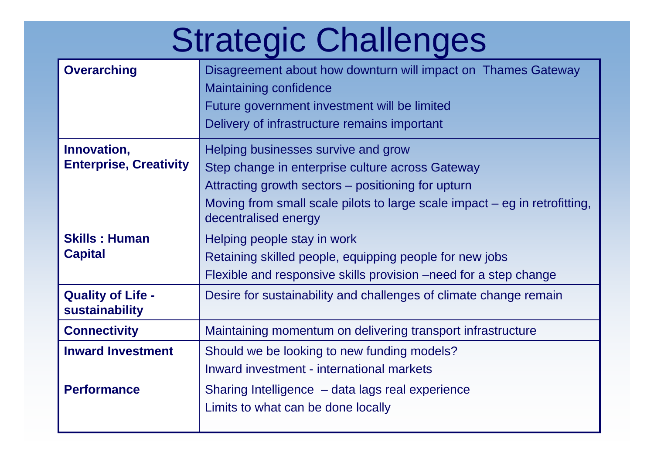# Strategic Challenges

| <b>Overarching</b>                           | Disagreement about how downturn will impact on Thames Gateway<br><b>Maintaining confidence</b><br>Future government investment will be limited<br>Delivery of infrastructure remains important                                                        |
|----------------------------------------------|-------------------------------------------------------------------------------------------------------------------------------------------------------------------------------------------------------------------------------------------------------|
| Innovation,<br><b>Enterprise, Creativity</b> | Helping businesses survive and grow<br>Step change in enterprise culture across Gateway<br>Attracting growth sectors – positioning for upturn<br>Moving from small scale pilots to large scale impact $-$ eg in retrofitting,<br>decentralised energy |
| <b>Skills: Human</b><br><b>Capital</b>       | Helping people stay in work<br>Retaining skilled people, equipping people for new jobs<br>Flexible and responsive skills provision –need for a step change                                                                                            |
| <b>Quality of Life -</b><br>sustainability   | Desire for sustainability and challenges of climate change remain                                                                                                                                                                                     |
| <b>Connectivity</b>                          | Maintaining momentum on delivering transport infrastructure                                                                                                                                                                                           |
| <b>Inward Investment</b>                     | Should we be looking to new funding models?<br>Inward investment - international markets                                                                                                                                                              |
| <b>Performance</b>                           | Sharing Intelligence - data lags real experience<br>Limits to what can be done locally                                                                                                                                                                |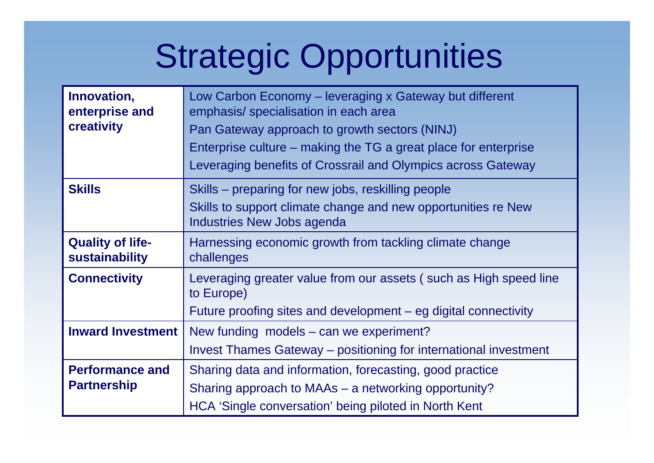# Strategic Opportunities

| Innovation,<br>enterprise and             | Low Carbon Economy - leveraging x Gateway but different<br>emphasis/ specialisation in each area |  |  |
|-------------------------------------------|--------------------------------------------------------------------------------------------------|--|--|
| creativity                                | Pan Gateway approach to growth sectors (NINJ)                                                    |  |  |
|                                           | Enterprise culture – making the TG a great place for enterprise                                  |  |  |
|                                           | Leveraging benefits of Crossrail and Olympics across Gateway                                     |  |  |
| <b>Skills</b>                             | Skills – preparing for new jobs, reskilling people                                               |  |  |
|                                           | Skills to support climate change and new opportunities re New<br>Industries New Jobs agenda      |  |  |
| <b>Quality of life-</b><br>sustainability | Harnessing economic growth from tackling climate change<br>challenges                            |  |  |
| <b>Connectivity</b>                       | Leveraging greater value from our assets (such as High speed line<br>to Europe)                  |  |  |
|                                           | Future proofing sites and development – eg digital connectivity                                  |  |  |
| <b>Inward Investment</b>                  | New funding models $-$ can we experiment?                                                        |  |  |
|                                           | Invest Thames Gateway - positioning for international investment                                 |  |  |
| <b>Performance and</b>                    | Sharing data and information, forecasting, good practice                                         |  |  |
| <b>Partnership</b>                        | Sharing approach to MAAs – a networking opportunity?                                             |  |  |
|                                           | HCA 'Single conversation' being piloted in North Kent                                            |  |  |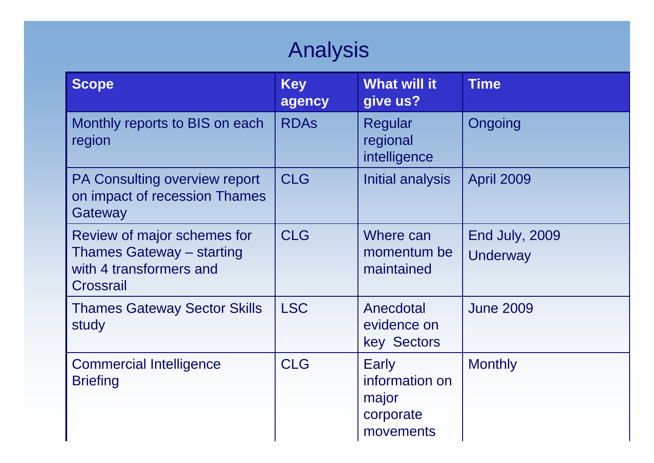### Analysis

| <b>Scope</b>                                                                                            | <b>Key</b><br>agency | <b>What will it</b><br>give us?                            | <b>Time</b>                       |
|---------------------------------------------------------------------------------------------------------|----------------------|------------------------------------------------------------|-----------------------------------|
| Monthly reports to BIS on each<br>region                                                                | <b>RDAS</b>          | Regular<br>regional<br>intelligence                        | Ongoing                           |
| PA Consulting overview report<br>on impact of recession Thames<br>Gateway                               | <b>CLG</b>           | Initial analysis                                           | <b>April 2009</b>                 |
| Review of major schemes for<br><b>Thames Gateway - starting</b><br>with 4 transformers and<br>Crossrail | <b>CLG</b>           | Where can<br>momentum be<br>maintained                     | End July, 2009<br><b>Underway</b> |
| <b>Thames Gateway Sector Skills</b><br>study                                                            | <b>LSC</b>           | Anecdotal<br>evidence on<br>key Sectors                    | <b>June 2009</b>                  |
| <b>Commercial Intelligence</b><br><b>Briefing</b>                                                       | <b>CLG</b>           | Early<br>information on<br>major<br>corporate<br>movements | <b>Monthly</b>                    |